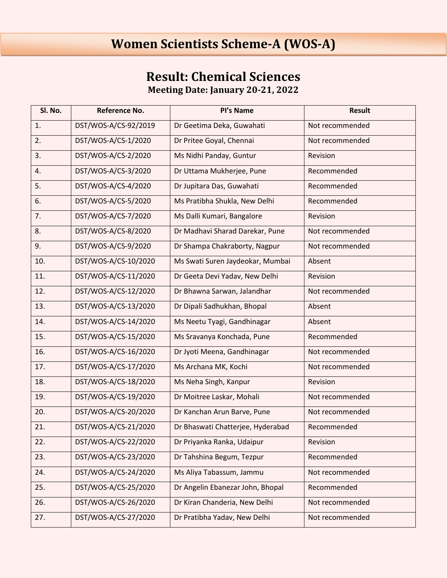## **Women Scientists Scheme-A (WOS-A)**

## **Result: Chemical Sciences Meeting Date: January 20-21, 2022**

| Sl. No. | Reference No.        | Pl's Name                         | <b>Result</b>   |
|---------|----------------------|-----------------------------------|-----------------|
| 1.      | DST/WOS-A/CS-92/2019 | Dr Geetima Deka, Guwahati         | Not recommended |
| 2.      | DST/WOS-A/CS-1/2020  | Dr Pritee Goyal, Chennai          | Not recommended |
| 3.      | DST/WOS-A/CS-2/2020  | Ms Nidhi Panday, Guntur           | Revision        |
| 4.      | DST/WOS-A/CS-3/2020  | Dr Uttama Mukherjee, Pune         | Recommended     |
| 5.      | DST/WOS-A/CS-4/2020  | Dr Jupitara Das, Guwahati         | Recommended     |
| 6.      | DST/WOS-A/CS-5/2020  | Ms Pratibha Shukla, New Delhi     | Recommended     |
| 7.      | DST/WOS-A/CS-7/2020  | Ms Dalli Kumari, Bangalore        | Revision        |
| 8.      | DST/WOS-A/CS-8/2020  | Dr Madhavi Sharad Darekar, Pune   | Not recommended |
| 9.      | DST/WOS-A/CS-9/2020  | Dr Shampa Chakraborty, Nagpur     | Not recommended |
| 10.     | DST/WOS-A/CS-10/2020 | Ms Swati Suren Jaydeokar, Mumbai  | Absent          |
| 11.     | DST/WOS-A/CS-11/2020 | Dr Geeta Devi Yadav, New Delhi    | Revision        |
| 12.     | DST/WOS-A/CS-12/2020 | Dr Bhawna Sarwan, Jalandhar       | Not recommended |
| 13.     | DST/WOS-A/CS-13/2020 | Dr Dipali Sadhukhan, Bhopal       | Absent          |
| 14.     | DST/WOS-A/CS-14/2020 | Ms Neetu Tyagi, Gandhinagar       | Absent          |
| 15.     | DST/WOS-A/CS-15/2020 | Ms Sravanya Konchada, Pune        | Recommended     |
| 16.     | DST/WOS-A/CS-16/2020 | Dr Jyoti Meena, Gandhinagar       | Not recommended |
| 17.     | DST/WOS-A/CS-17/2020 | Ms Archana MK, Kochi              | Not recommended |
| 18.     | DST/WOS-A/CS-18/2020 | Ms Neha Singh, Kanpur             | Revision        |
| 19.     | DST/WOS-A/CS-19/2020 | Dr Moitree Laskar, Mohali         | Not recommended |
| 20.     | DST/WOS-A/CS-20/2020 | Dr Kanchan Arun Barve, Pune       | Not recommended |
| 21.     | DST/WOS-A/CS-21/2020 | Dr Bhaswati Chatterjee, Hyderabad | Recommended     |
| 22.     | DST/WOS-A/CS-22/2020 | Dr Priyanka Ranka, Udaipur        | Revision        |
| 23.     | DST/WOS-A/CS-23/2020 | Dr Tahshina Begum, Tezpur         | Recommended     |
| 24.     | DST/WOS-A/CS-24/2020 | Ms Aliya Tabassum, Jammu          | Not recommended |
| 25.     | DST/WOS-A/CS-25/2020 | Dr Angelin Ebanezar John, Bhopal  | Recommended     |
| 26.     | DST/WOS-A/CS-26/2020 | Dr Kiran Chanderia, New Delhi     | Not recommended |
| 27.     | DST/WOS-A/CS-27/2020 | Dr Pratibha Yadav, New Delhi      | Not recommended |